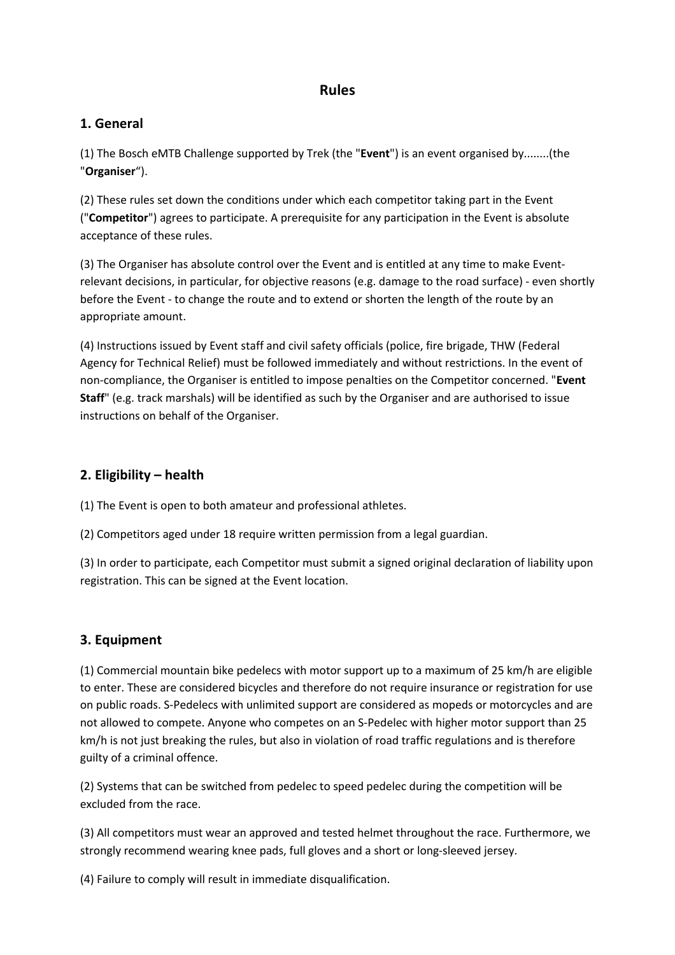# **Rules**

## **1. General**

(1) The Bosch eMTB Challenge supported by Trek (the "**Event**") is an event organised by........(the "**Organiser**").

(2) These rules set down the conditions under which each competitor taking part in the Event ("**Competitor**") agrees to participate. A prerequisite for any participation in the Event is absolute acceptance of these rules.

(3) The Organiser has absolute control over the Event and is entitled at any time to make Eventrelevant decisions, in particular, for objective reasons (e.g. damage to the road surface) - even shortly before the Event - to change the route and to extend or shorten the length of the route by an appropriate amount.

(4) Instructions issued by Event staff and civil safety officials (police, fire brigade, THW (Federal Agency for Technical Relief) must be followed immediately and without restrictions. In the event of non-compliance, the Organiser is entitled to impose penalties on the Competitor concerned. "**Event Staff**" (e.g. track marshals) will be identified as such by the Organiser and are authorised to issue instructions on behalf of the Organiser.

# **2. Eligibility – health**

(1) The Event is open to both amateur and professional athletes.

(2) Competitors aged under 18 require written permission from a legal guardian.

(3) In order to participate, each Competitor must submit a signed original declaration of liability upon registration. This can be signed at the Event location.

# **3. Equipment**

(1) Commercial mountain bike pedelecs with motor support up to a maximum of 25 km/h are eligible to enter. These are considered bicycles and therefore do not require insurance or registration for use on public roads. S-Pedelecs with unlimited support are considered as mopeds or motorcycles and are not allowed to compete. Anyone who competes on an S-Pedelec with higher motor support than 25 km/h is not just breaking the rules, but also in violation of road traffic regulations and is therefore guilty of a criminal offence.

(2) Systems that can be switched from pedelec to speed pedelec during the competition will be excluded from the race.

(3) All competitors must wear an approved and tested helmet throughout the race. Furthermore, we strongly recommend wearing knee pads, full gloves and a short or long-sleeved jersey.

(4) Failure to comply will result in immediate disqualification.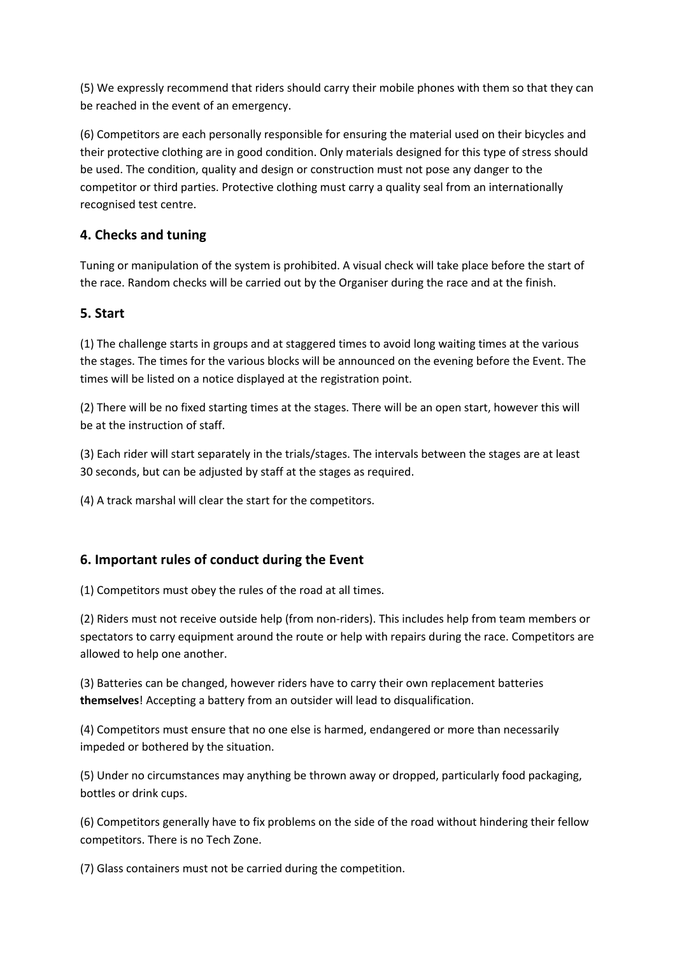(5) We expressly recommend that riders should carry their mobile phones with them so that they can be reached in the event of an emergency.

(6) Competitors are each personally responsible for ensuring the material used on their bicycles and their protective clothing are in good condition. Only materials designed for this type of stress should be used. The condition, quality and design or construction must not pose any danger to the competitor or third parties. Protective clothing must carry a quality seal from an internationally recognised test centre.

## **4. Checks and tuning**

Tuning or manipulation of the system is prohibited. A visual check will take place before the start of the race. Random checks will be carried out by the Organiser during the race and at the finish.

### **5. Start**

(1) The challenge starts in groups and at staggered times to avoid long waiting times at the various the stages. The times for the various blocks will be announced on the evening before the Event. The times will be listed on a notice displayed at the registration point.

(2) There will be no fixed starting times at the stages. There will be an open start, however this will be at the instruction of staff.

(3) Each rider will start separately in the trials/stages. The intervals between the stages are at least 30 seconds, but can be adjusted by staff at the stages as required.

(4) A track marshal will clear the start for the competitors.

### **6. Important rules of conduct during the Event**

(1) Competitors must obey the rules of the road at all times.

(2) Riders must not receive outside help (from non-riders). This includes help from team members or spectators to carry equipment around the route or help with repairs during the race. Competitors are allowed to help one another.

(3) Batteries can be changed, however riders have to carry their own replacement batteries **themselves**! Accepting a battery from an outsider will lead to disqualification.

(4) Competitors must ensure that no one else is harmed, endangered or more than necessarily impeded or bothered by the situation.

(5) Under no circumstances may anything be thrown away or dropped, particularly food packaging, bottles or drink cups.

(6) Competitors generally have to fix problems on the side of the road without hindering their fellow competitors. There is no Tech Zone.

(7) Glass containers must not be carried during the competition.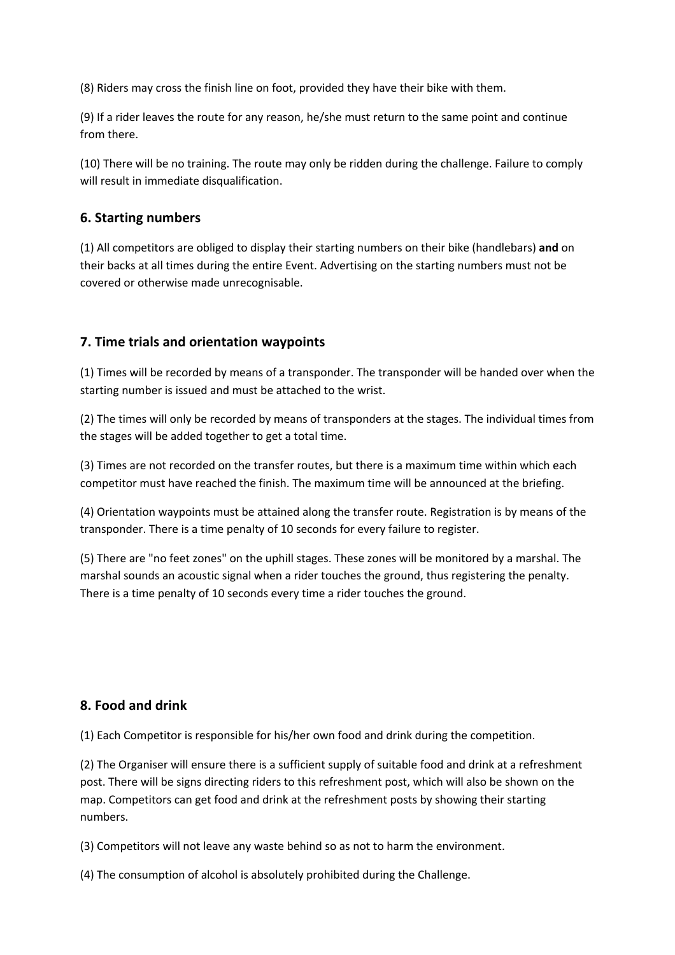(8) Riders may cross the finish line on foot, provided they have their bike with them.

(9) If a rider leaves the route for any reason, he/she must return to the same point and continue from there.

(10) There will be no training. The route may only be ridden during the challenge. Failure to comply will result in immediate disqualification.

#### **6. Starting numbers**

(1) All competitors are obliged to display their starting numbers on their bike (handlebars) **and** on their backs at all times during the entire Event. Advertising on the starting numbers must not be covered or otherwise made unrecognisable.

### **7. Time trials and orientation waypoints**

(1) Times will be recorded by means of a transponder. The transponder will be handed over when the starting number is issued and must be attached to the wrist.

(2) The times will only be recorded by means of transponders at the stages. The individual times from the stages will be added together to get a total time.

(3) Times are not recorded on the transfer routes, but there is a maximum time within which each competitor must have reached the finish. The maximum time will be announced at the briefing.

(4) Orientation waypoints must be attained along the transfer route. Registration is by means of the transponder. There is a time penalty of 10 seconds for every failure to register.

(5) There are "no feet zones" on the uphill stages. These zones will be monitored by a marshal. The marshal sounds an acoustic signal when a rider touches the ground, thus registering the penalty. There is a time penalty of 10 seconds every time a rider touches the ground.

## **8. Food and drink**

(1) Each Competitor is responsible for his/her own food and drink during the competition.

(2) The Organiser will ensure there is a sufficient supply of suitable food and drink at a refreshment post. There will be signs directing riders to this refreshment post, which will also be shown on the map. Competitors can get food and drink at the refreshment posts by showing their starting numbers.

(3) Competitors will not leave any waste behind so as not to harm the environment.

(4) The consumption of alcohol is absolutely prohibited during the Challenge.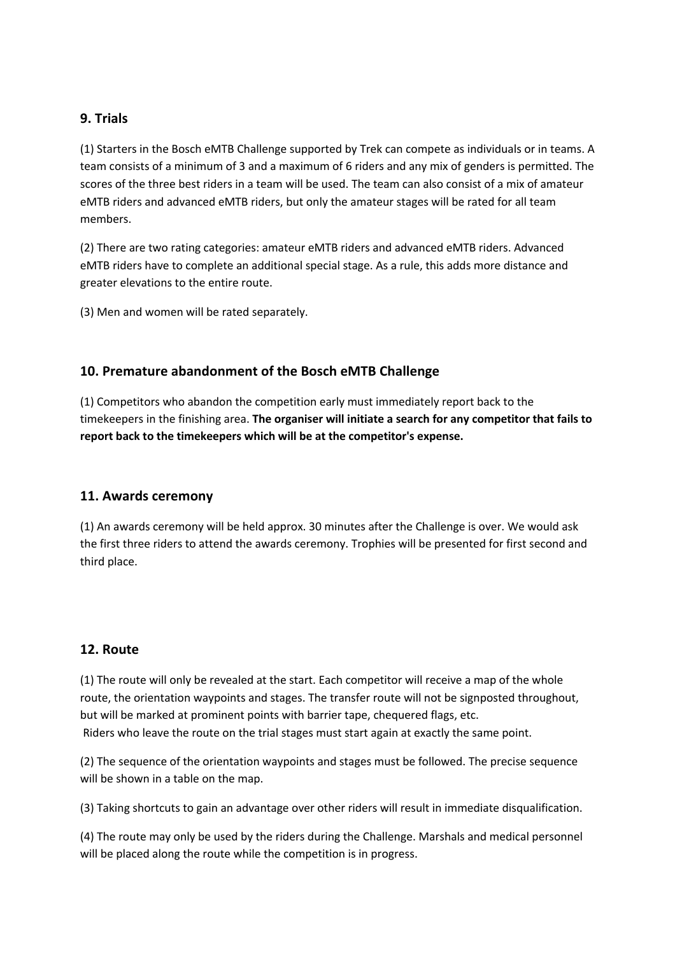### **9. Trials**

(1) Starters in the Bosch eMTB Challenge supported by Trek can compete as individuals or in teams. A team consists of a minimum of 3 and a maximum of 6 riders and any mix of genders is permitted. The scores of the three best riders in a team will be used. The team can also consist of a mix of amateur eMTB riders and advanced eMTB riders, but only the amateur stages will be rated for all team members.

(2) There are two rating categories: amateur eMTB riders and advanced eMTB riders. Advanced eMTB riders have to complete an additional special stage. As a rule, this adds more distance and greater elevations to the entire route.

(3) Men and women will be rated separately.

## **10. Premature abandonment of the Bosch eMTB Challenge**

(1) Competitors who abandon the competition early must immediately report back to the timekeepers in the finishing area. **The organiser will initiate a search for any competitor that fails to report back to the timekeepers which will be at the competitor's expense.**

### **11. Awards ceremony**

(1) An awards ceremony will be held approx. 30 minutes after the Challenge is over. We would ask the first three riders to attend the awards ceremony. Trophies will be presented for first second and third place.

### **12. Route**

(1) The route will only be revealed at the start. Each competitor will receive a map of the whole route, the orientation waypoints and stages. The transfer route will not be signposted throughout, but will be marked at prominent points with barrier tape, chequered flags, etc. Riders who leave the route on the trial stages must start again at exactly the same point.

(2) The sequence of the orientation waypoints and stages must be followed. The precise sequence will be shown in a table on the map.

(3) Taking shortcuts to gain an advantage over other riders will result in immediate disqualification.

(4) The route may only be used by the riders during the Challenge. Marshals and medical personnel will be placed along the route while the competition is in progress.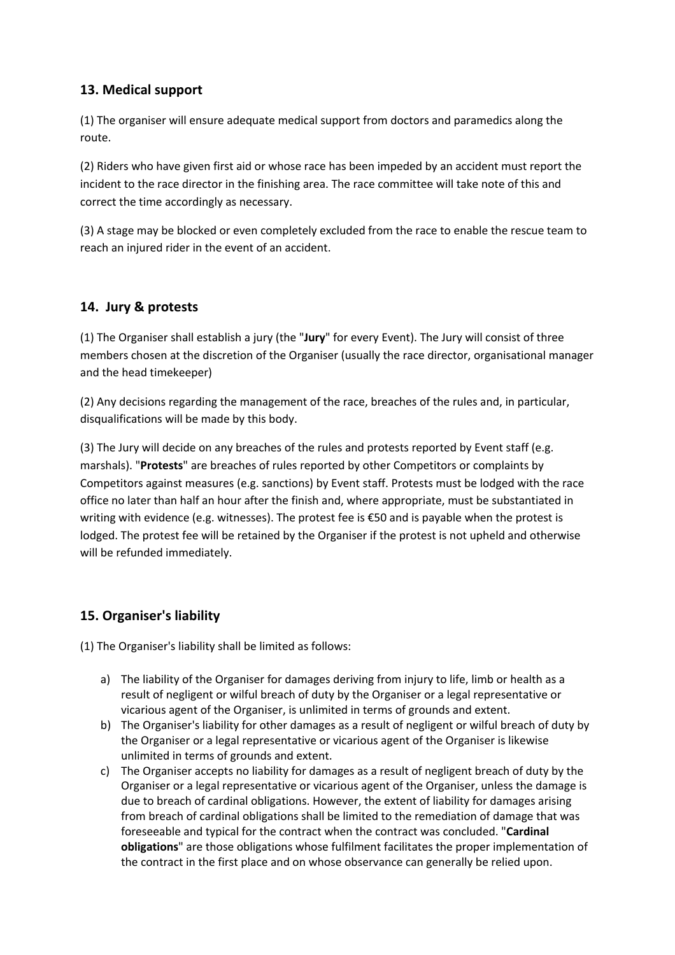# **13. Medical support**

(1) The organiser will ensure adequate medical support from doctors and paramedics along the route.

(2) Riders who have given first aid or whose race has been impeded by an accident must report the incident to the race director in the finishing area. The race committee will take note of this and correct the time accordingly as necessary.

(3) A stage may be blocked or even completely excluded from the race to enable the rescue team to reach an injured rider in the event of an accident.

# **14. Jury & protests**

(1) The Organiser shall establish a jury (the "**Jury**" for every Event). The Jury will consist of three members chosen at the discretion of the Organiser (usually the race director, organisational manager and the head timekeeper)

(2) Any decisions regarding the management of the race, breaches of the rules and, in particular, disqualifications will be made by this body.

(3) The Jury will decide on any breaches of the rules and protests reported by Event staff (e.g. marshals). "**Protests**" are breaches of rules reported by other Competitors or complaints by Competitors against measures (e.g. sanctions) by Event staff. Protests must be lodged with the race office no later than half an hour after the finish and, where appropriate, must be substantiated in writing with evidence (e.g. witnesses). The protest fee is €50 and is payable when the protest is lodged. The protest fee will be retained by the Organiser if the protest is not upheld and otherwise will be refunded immediately.

# **15. Organiser's liability**

(1) The Organiser's liability shall be limited as follows:

- a) The liability of the Organiser for damages deriving from injury to life, limb or health as a result of negligent or wilful breach of duty by the Organiser or a legal representative or vicarious agent of the Organiser, is unlimited in terms of grounds and extent.
- b) The Organiser's liability for other damages as a result of negligent or wilful breach of duty by the Organiser or a legal representative or vicarious agent of the Organiser is likewise unlimited in terms of grounds and extent.
- c) The Organiser accepts no liability for damages as a result of negligent breach of duty by the Organiser or a legal representative or vicarious agent of the Organiser, unless the damage is due to breach of cardinal obligations. However, the extent of liability for damages arising from breach of cardinal obligations shall be limited to the remediation of damage that was foreseeable and typical for the contract when the contract was concluded. "**Cardinal obligations**" are those obligations whose fulfilment facilitates the proper implementation of the contract in the first place and on whose observance can generally be relied upon.